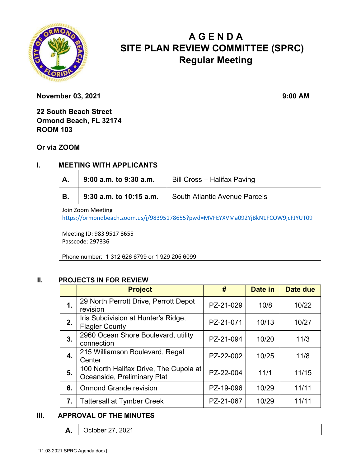

# **A G E N D A SITE PLAN REVIEW COMMITTEE (SPRC) Regular Meeting**

**November 03, 2021** 9:00 AM

**22 South Beach Street Ormond Beach, FL 32174 ROOM 103** 

**Or via ZOOM**

# **I. MEETING WITH APPLICANTS**

| А.                                                                                                  | 9:00 a.m. to 9:30 a.m.<br>Bill Cross - Halifax Paving |                                      |  |  |
|-----------------------------------------------------------------------------------------------------|-------------------------------------------------------|--------------------------------------|--|--|
| В.                                                                                                  | $9:30$ a.m. to 10:15 a.m.                             | <b>South Atlantic Avenue Parcels</b> |  |  |
| Join Zoom Meeting<br>https://ormondbeach.zoom.us/j/98395178655?pwd=MVFEYXVMa092YjBkN1FCOW9jcFJYUT09 |                                                       |                                      |  |  |
| Meeting ID: 983 9517 8655<br>Passcode: 297336                                                       |                                                       |                                      |  |  |

Phone number: 1 312 626 6799 or 1 929 205 6099

#### **II. PROJECTS IN FOR REVIEW**

|    | <b>Project</b>                                                        | #         | Date in | Date due |
|----|-----------------------------------------------------------------------|-----------|---------|----------|
| 1. | 29 North Perrott Drive, Perrott Depot<br>revision                     | PZ-21-029 | 10/8    | 10/22    |
| 2. | Iris Subdivision at Hunter's Ridge,<br><b>Flagler County</b>          | PZ-21-071 | 10/13   | 10/27    |
| 3. | 2960 Ocean Shore Boulevard, utility<br>connection                     | PZ-21-094 | 10/20   | 11/3     |
| 4. | 215 Williamson Boulevard, Regal<br>Center                             | PZ-22-002 | 10/25   | 11/8     |
| 5. | 100 North Halifax Drive, The Cupola at<br>Oceanside, Preliminary Plat | PZ-22-004 | 11/1    | 11/15    |
| 6. | <b>Ormond Grande revision</b>                                         | PZ-19-096 | 10/29   | 11/11    |
| 7. | <b>Tattersall at Tymber Creek</b>                                     | PZ-21-067 | 10/29   | 11/11    |

#### **III. APPROVAL OF THE MINUTES**

**A.** October 27, 2021